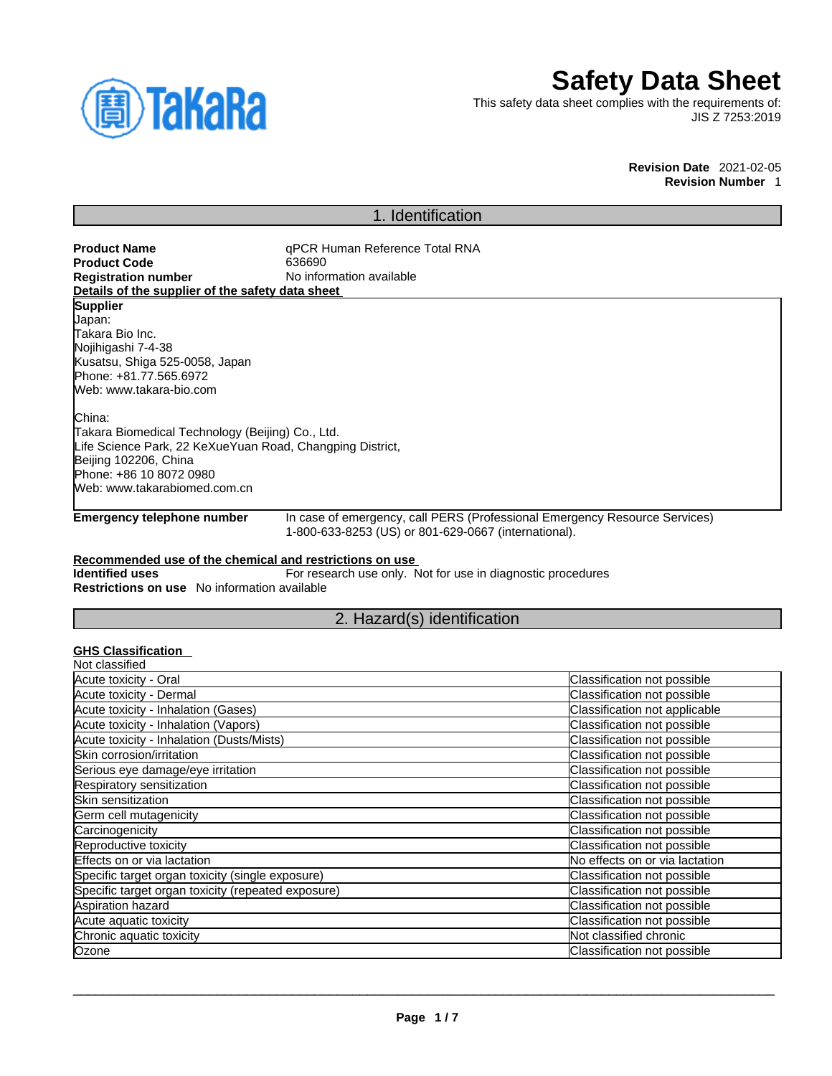

# **Safety Data Sheet**

This safety data sheet complies with the requirements of: JIS Z 7253:2019

#### **Revision Date** 2021-02-05 **Revision Number** 1

## 1. Identification

**Product Name Name** qPCR Human Reference Total RNA<br> **Product Code** 636690 **Product Code**<br>Registration number **No information available Details of the supplier of the safety data sheet Emergency telephone number** In case of emergency, call PERS (Professional Emergency Resource Services) 1-800-633-8253 (US) or 801-629-0667 (international). **Recommended use of the chemical and restrictions on use Identified uses** For research use only. Not for use in diagnostic procedures **Supplier** Japan: Takara Bio Inc. Nojihigashi 7-4-38 Kusatsu, Shiga 525-0058, Japan Phone: +81.77.565.6972 Web: www.takara-bio.com China: Takara Biomedical Technology (Beijing) Co., Ltd. Life Science Park, 22 KeXueYuan Road, Changping District, Beijing 102206, China Phone: +86 10 8072 0980 Web: www.takarabiomed.com.cn

**Restrictions on use** No information available

## 2. Hazard(s) identification

## **GHS Classification**

| Not classified                                     |                                |
|----------------------------------------------------|--------------------------------|
| Acute toxicity - Oral                              | Classification not possible    |
| Acute toxicity - Dermal                            | Classification not possible    |
| Acute toxicity - Inhalation (Gases)                | Classification not applicable  |
| Acute toxicity - Inhalation (Vapors)               | Classification not possible    |
| Acute toxicity - Inhalation (Dusts/Mists)          | Classification not possible    |
| Skin corrosion/irritation                          | Classification not possible    |
| Serious eye damage/eye irritation                  | Classification not possible    |
| Respiratory sensitization                          | Classification not possible    |
| Skin sensitization                                 | Classification not possible    |
| Germ cell mutagenicity                             | Classification not possible    |
| Carcinogenicity                                    | Classification not possible    |
| Reproductive toxicity                              | Classification not possible    |
| Effects on or via lactation                        | No effects on or via lactation |
| Specific target organ toxicity (single exposure)   | Classification not possible    |
| Specific target organ toxicity (repeated exposure) | Classification not possible    |
| Aspiration hazard                                  | Classification not possible    |
| Acute aquatic toxicity                             | Classification not possible    |
| Chronic aquatic toxicity                           | Not classified chronic         |
| Ozone                                              | Classification not possible    |
|                                                    |                                |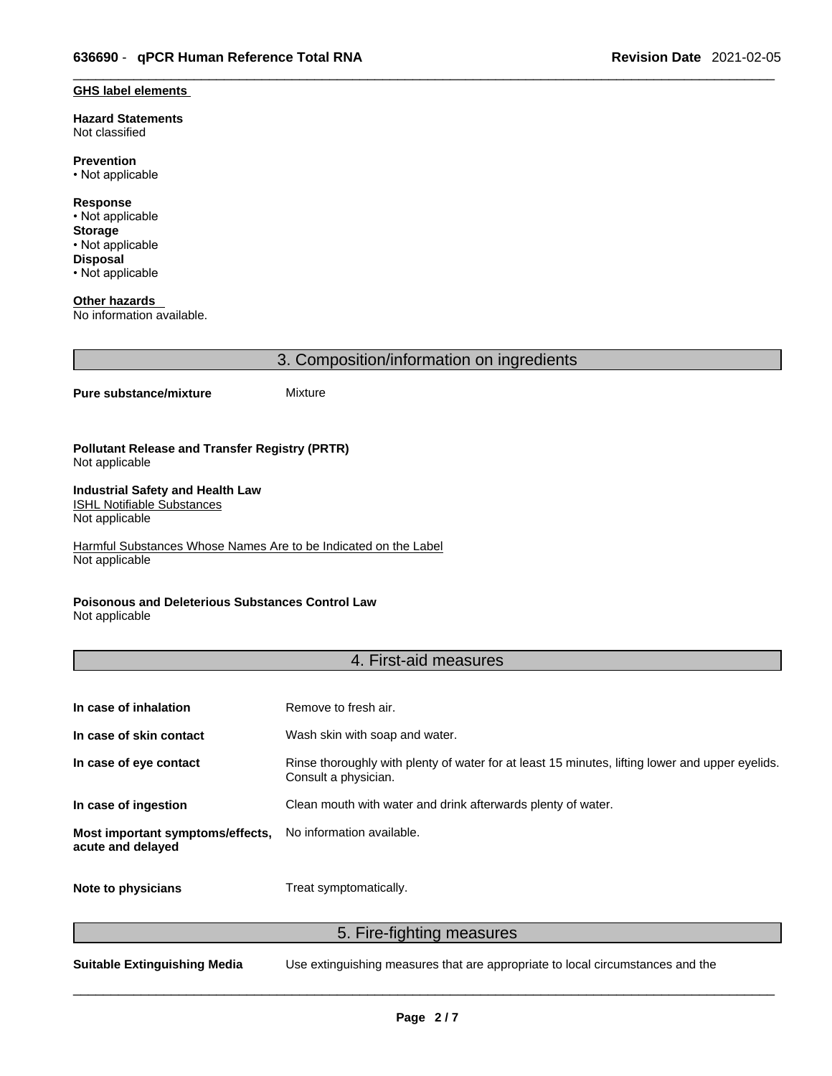#### **GHS label elements**

**Hazard Statements**  Not classified

**Prevention** • Not applicable

**Response** • Not applicable **Storage** • Not applicable **Disposal** • Not applicable

**Other hazards**  No information available.

3. Composition/information on ingredients

### **Pure substance/mixture** Mixture

#### **Pollutant Release and Transfer Registry (PRTR)** Not applicable

#### **Industrial Safety and Health Law**  ISHL Notifiable Substances

Not applicable

Harmful Substances Whose Names Are to be Indicated on the Label Not applicable

## **Poisonous and Deleterious Substances Control Law**

Not applicable

## 4. First-aid measures

| In case of inhalation                                 | Remove to fresh air.                                                                                                    |
|-------------------------------------------------------|-------------------------------------------------------------------------------------------------------------------------|
| In case of skin contact                               | Wash skin with soap and water.                                                                                          |
| In case of eye contact                                | Rinse thoroughly with plenty of water for at least 15 minutes, lifting lower and upper eyelids.<br>Consult a physician. |
| In case of ingestion                                  | Clean mouth with water and drink afterwards plenty of water.                                                            |
| Most important symptoms/effects,<br>acute and delayed | No information available.                                                                                               |
| Note to physicians                                    | Treat symptomatically.                                                                                                  |

5. Fire-fighting measures

**Suitable Extinguishing Media** Use extinguishing measures that are appropriate to local circumstances and the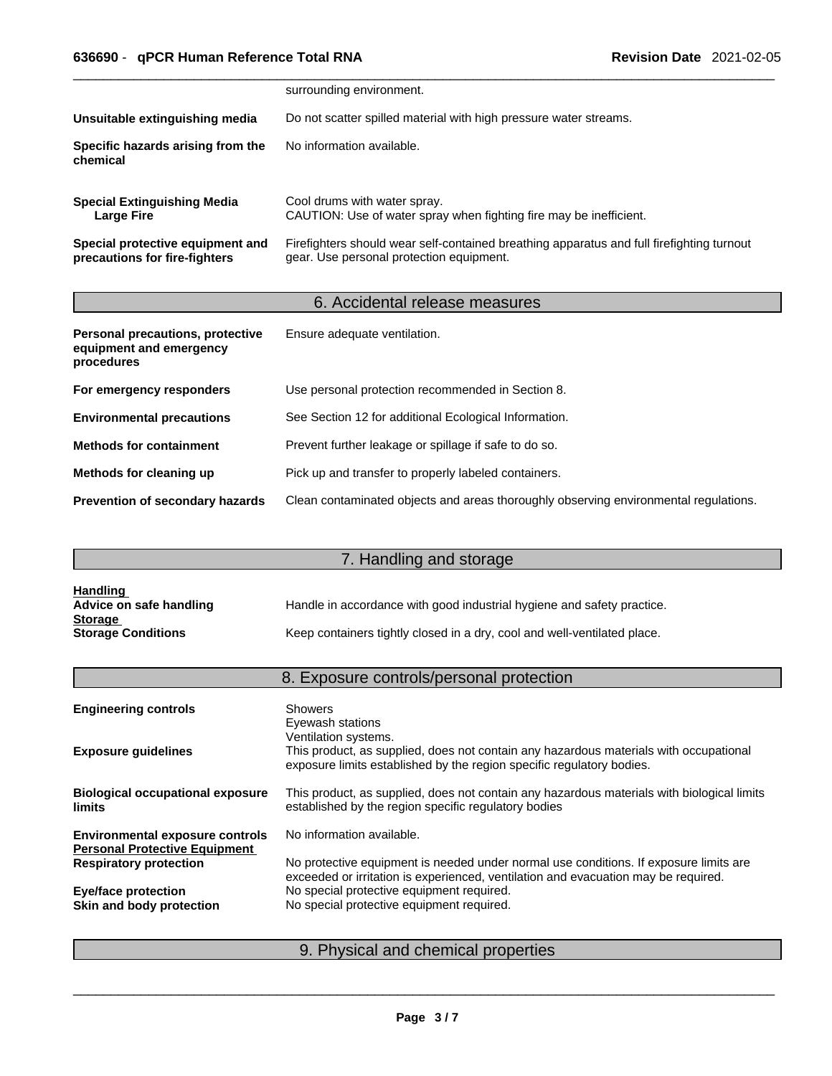|                                                                   | surrounding environment.                                                                                                              |
|-------------------------------------------------------------------|---------------------------------------------------------------------------------------------------------------------------------------|
| Unsuitable extinguishing media                                    | Do not scatter spilled material with high pressure water streams.                                                                     |
| Specific hazards arising from the<br>chemical                     | No information available.                                                                                                             |
| <b>Special Extinguishing Media</b><br>Large Fire                  | Cool drums with water spray.<br>CAUTION: Use of water spray when fighting fire may be inefficient.                                    |
| Special protective equipment and<br>precautions for fire-fighters | Firefighters should wear self-contained breathing apparatus and full firefighting turnout<br>gear. Use personal protection equipment. |

## 6. Accidental release measures

| Personal precautions, protective<br>equipment and emergency<br>procedures | Ensure adequate ventilation.                                                         |
|---------------------------------------------------------------------------|--------------------------------------------------------------------------------------|
| For emergency responders                                                  | Use personal protection recommended in Section 8.                                    |
| <b>Environmental precautions</b>                                          | See Section 12 for additional Ecological Information.                                |
| <b>Methods for containment</b>                                            | Prevent further leakage or spillage if safe to do so.                                |
| Methods for cleaning up                                                   | Pick up and transfer to properly labeled containers.                                 |
| <b>Prevention of secondary hazards</b>                                    | Clean contaminated objects and areas thoroughly observing environmental regulations. |

## 7. Handling and storage

| <b>Handling</b>           |                                                                          |
|---------------------------|--------------------------------------------------------------------------|
| Advice on safe handling   | Handle in accordance with good industrial hygiene and safety practice.   |
| <b>Storage</b>            |                                                                          |
| <b>Storage Conditions</b> | Keep containers tightly closed in a dry, cool and well-ventilated place. |

## 8. Exposure controls/personal protection

| <b>Engineering controls</b>                                                    | <b>Showers</b><br>Eyewash stations<br>Ventilation systems.                                                                                                                  |
|--------------------------------------------------------------------------------|-----------------------------------------------------------------------------------------------------------------------------------------------------------------------------|
| <b>Exposure guidelines</b>                                                     | This product, as supplied, does not contain any hazardous materials with occupational<br>exposure limits established by the region specific regulatory bodies.              |
| <b>Biological occupational exposure</b><br><b>limits</b>                       | This product, as supplied, does not contain any hazardous materials with biological limits<br>established by the region specific regulatory bodies                          |
| <b>Environmental exposure controls</b><br><b>Personal Protective Equipment</b> | No information available.                                                                                                                                                   |
| <b>Respiratory protection</b>                                                  | No protective equipment is needed under normal use conditions. If exposure limits are<br>exceeded or irritation is experienced, ventilation and evacuation may be required. |
| <b>Eye/face protection</b>                                                     | No special protective equipment required.                                                                                                                                   |
| Skin and body protection                                                       | No special protective equipment required.                                                                                                                                   |
|                                                                                |                                                                                                                                                                             |

## 9. Physical and chemical properties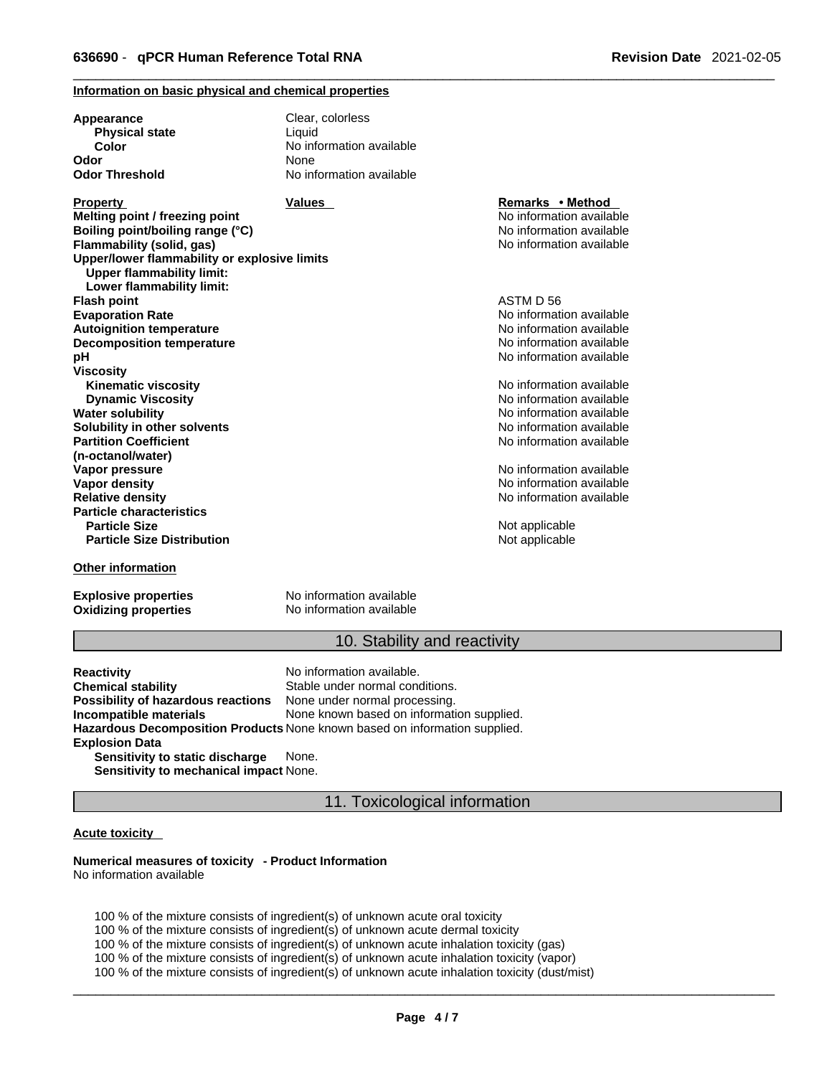## **Information on basic physical and chemical properties**

| Appearance<br><b>Physical state</b>                                              | Clear, colorless<br>Liquid |                          |  |
|----------------------------------------------------------------------------------|----------------------------|--------------------------|--|
| Color                                                                            | No information available   |                          |  |
| Odor                                                                             | None                       |                          |  |
| Odor Threshold                                                                   | No information available   |                          |  |
| Property                                                                         | Values                     | Remarks • Method         |  |
| Melting point / freezing point                                                   |                            | No information available |  |
| Boiling point/boiling range (°C)                                                 |                            | No information available |  |
| Flammability (solid, gas)                                                        |                            | No information available |  |
| Upper/lower flammability or explosive limits<br><b>Upper flammability limit:</b> |                            |                          |  |
| Lower flammability limit:                                                        |                            | ASTM D 56                |  |
| Flash point                                                                      |                            |                          |  |
| <b>Evaporation Rate</b>                                                          |                            | No information available |  |
| <b>Autoignition temperature</b>                                                  |                            | No information available |  |
| <b>Decomposition temperature</b>                                                 |                            | No information available |  |
| рH                                                                               |                            | No information available |  |
| Viscositv                                                                        |                            |                          |  |
| <b>Kinematic viscosity</b>                                                       |                            | No information available |  |
| <b>Dynamic Viscosity</b>                                                         |                            | No information available |  |
| Water solubility                                                                 |                            | No information available |  |
| Solubility in other solvents                                                     |                            | No information available |  |
| <b>Partition Coefficient</b>                                                     |                            | No information available |  |
| (n-octanol/water)                                                                |                            |                          |  |
| Vapor pressure                                                                   |                            | No information available |  |
| Vapor density                                                                    |                            | No information available |  |
| <b>Relative density</b>                                                          |                            | No information available |  |
| <b>Particle characteristics</b>                                                  |                            |                          |  |
| <b>Particle Size</b>                                                             |                            | Not applicable           |  |
| <b>Particle Size Distribution</b>                                                |                            | Not applicable           |  |
| <b>Other information</b>                                                         |                            |                          |  |
|                                                                                  |                            |                          |  |

**Oxidizing properties** No information available

**Explosive properties** No information available

## 10. Stability and reactivity

**Reactivity Reactivity Reactivity Chemical stability No information available.**<br> **Chemical stability Reaction** Stable under normal cond Stable under normal conditions.<br>None under normal processing. **Possibility of hazardous reactions Incompatible materials** None known based on information supplied. **Hazardous Decomposition Products** None known based on information supplied. **Explosion Data Sensitivity to static discharge** None. **Sensitivity to mechanical impact** None.

11. Toxicological information

### **Acute toxicity**

#### **Numerical measures of toxicity - Product Information** No information available

100 % of the mixture consists of ingredient(s) of unknown acute oral toxicity

100 % of the mixture consists of ingredient(s) of unknown acute dermal toxicity

100 % of the mixture consists of ingredient(s) of unknown acute inhalation toxicity (gas)

100 % of the mixture consists of ingredient(s) of unknown acute inhalation toxicity (vapor)

100 % of the mixture consists of ingredient(s) of unknown acute inhalation toxicity (dust/mist)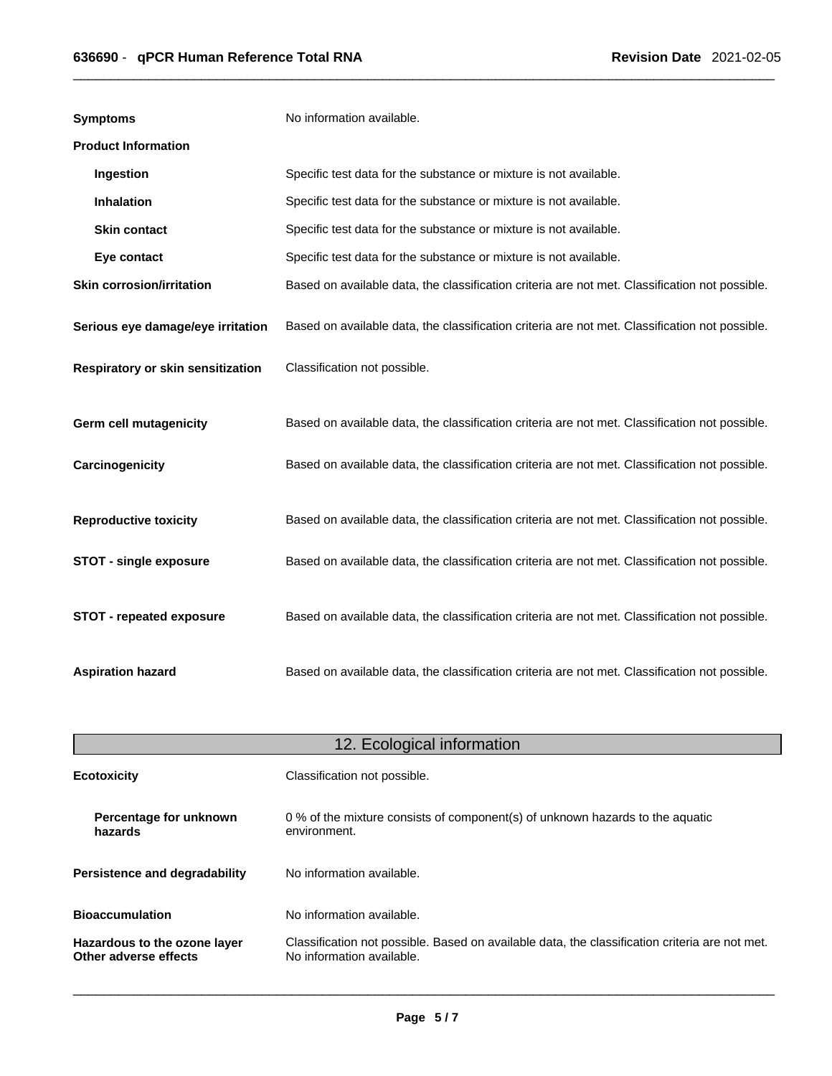| <b>Symptoms</b>                   | No information available.                                                                      |
|-----------------------------------|------------------------------------------------------------------------------------------------|
| <b>Product Information</b>        |                                                                                                |
| Ingestion                         | Specific test data for the substance or mixture is not available.                              |
| <b>Inhalation</b>                 | Specific test data for the substance or mixture is not available.                              |
| <b>Skin contact</b>               | Specific test data for the substance or mixture is not available.                              |
| Eye contact                       | Specific test data for the substance or mixture is not available.                              |
| <b>Skin corrosion/irritation</b>  | Based on available data, the classification criteria are not met. Classification not possible. |
| Serious eye damage/eye irritation | Based on available data, the classification criteria are not met. Classification not possible. |
| Respiratory or skin sensitization | Classification not possible.                                                                   |
| <b>Germ cell mutagenicity</b>     | Based on available data, the classification criteria are not met. Classification not possible. |
| Carcinogenicity                   | Based on available data, the classification criteria are not met. Classification not possible. |
| <b>Reproductive toxicity</b>      | Based on available data, the classification criteria are not met. Classification not possible. |
| <b>STOT - single exposure</b>     | Based on available data, the classification criteria are not met. Classification not possible. |
| STOT - repeated exposure          | Based on available data, the classification criteria are not met. Classification not possible. |
| <b>Aspiration hazard</b>          | Based on available data, the classification criteria are not met. Classification not possible. |

| 12. Ecological information                            |                                                                                                                             |  |
|-------------------------------------------------------|-----------------------------------------------------------------------------------------------------------------------------|--|
| <b>Ecotoxicity</b>                                    | Classification not possible.                                                                                                |  |
| Percentage for unknown<br>hazards                     | 0 % of the mixture consists of component(s) of unknown hazards to the aquatic<br>environment.                               |  |
| <b>Persistence and degradability</b>                  | No information available.                                                                                                   |  |
| <b>Bioaccumulation</b>                                | No information available.                                                                                                   |  |
| Hazardous to the ozone layer<br>Other adverse effects | Classification not possible. Based on available data, the classification criteria are not met.<br>No information available. |  |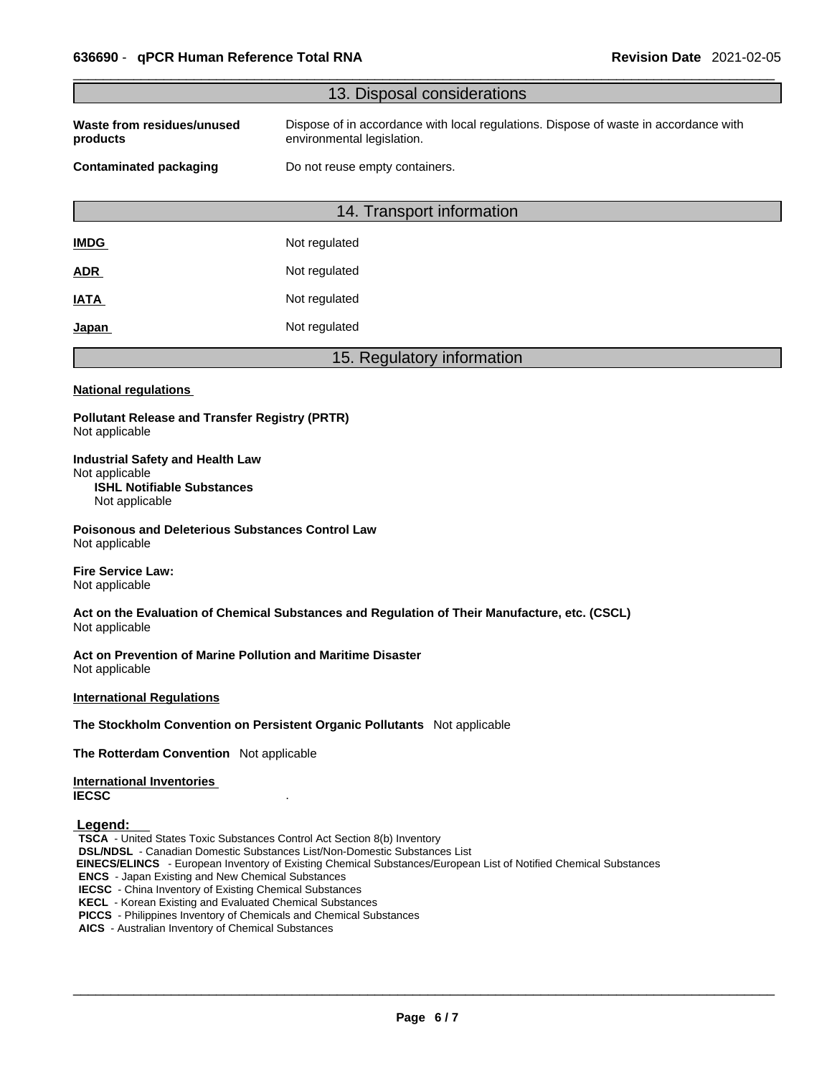|                                                                                                                                                                                                                                                                                                                                                                                                                                                                                                             | 13. Disposal considerations                                                                                        |
|-------------------------------------------------------------------------------------------------------------------------------------------------------------------------------------------------------------------------------------------------------------------------------------------------------------------------------------------------------------------------------------------------------------------------------------------------------------------------------------------------------------|--------------------------------------------------------------------------------------------------------------------|
| Waste from residues/unused<br>products                                                                                                                                                                                                                                                                                                                                                                                                                                                                      | Dispose of in accordance with local regulations. Dispose of waste in accordance with<br>environmental legislation. |
| <b>Contaminated packaging</b>                                                                                                                                                                                                                                                                                                                                                                                                                                                                               | Do not reuse empty containers.                                                                                     |
|                                                                                                                                                                                                                                                                                                                                                                                                                                                                                                             | 14. Transport information                                                                                          |
| <b>IMDG</b>                                                                                                                                                                                                                                                                                                                                                                                                                                                                                                 | Not regulated                                                                                                      |
| <u>ADR</u>                                                                                                                                                                                                                                                                                                                                                                                                                                                                                                  | Not regulated                                                                                                      |
| IATA                                                                                                                                                                                                                                                                                                                                                                                                                                                                                                        | Not regulated                                                                                                      |
| <u>Japan</u>                                                                                                                                                                                                                                                                                                                                                                                                                                                                                                | Not regulated                                                                                                      |
|                                                                                                                                                                                                                                                                                                                                                                                                                                                                                                             | 15. Regulatory information                                                                                         |
| <b>National regulations</b>                                                                                                                                                                                                                                                                                                                                                                                                                                                                                 |                                                                                                                    |
| <b>Pollutant Release and Transfer Registry (PRTR)</b><br>Not applicable                                                                                                                                                                                                                                                                                                                                                                                                                                     |                                                                                                                    |
| <b>Industrial Safety and Health Law</b><br>Not applicable<br><b>ISHL Notifiable Substances</b><br>Not applicable                                                                                                                                                                                                                                                                                                                                                                                            |                                                                                                                    |
| Poisonous and Deleterious Substances Control Law<br>Not applicable                                                                                                                                                                                                                                                                                                                                                                                                                                          |                                                                                                                    |
| <b>Fire Service Law:</b><br>Not applicable                                                                                                                                                                                                                                                                                                                                                                                                                                                                  |                                                                                                                    |
| Not applicable                                                                                                                                                                                                                                                                                                                                                                                                                                                                                              | Act on the Evaluation of Chemical Substances and Regulation of Their Manufacture, etc. (CSCL)                      |
| Act on Prevention of Marine Pollution and Maritime Disaster<br>Not applicable                                                                                                                                                                                                                                                                                                                                                                                                                               |                                                                                                                    |
| <b>International Regulations</b>                                                                                                                                                                                                                                                                                                                                                                                                                                                                            |                                                                                                                    |
|                                                                                                                                                                                                                                                                                                                                                                                                                                                                                                             | The Stockholm Convention on Persistent Organic Pollutants Not applicable                                           |
| The Rotterdam Convention Not applicable                                                                                                                                                                                                                                                                                                                                                                                                                                                                     |                                                                                                                    |
| <b>International Inventories</b><br><b>IECSC</b>                                                                                                                                                                                                                                                                                                                                                                                                                                                            |                                                                                                                    |
| Legend:<br><b>TSCA</b> - United States Toxic Substances Control Act Section 8(b) Inventory<br><b>DSL/NDSL</b> - Canadian Domestic Substances List/Non-Domestic Substances List<br><b>ENCS</b> - Japan Existing and New Chemical Substances<br><b>IECSC</b> - China Inventory of Existing Chemical Substances<br><b>KECL</b> - Korean Existing and Evaluated Chemical Substances<br>PICCS - Philippines Inventory of Chemicals and Chemical Substances<br>AICS - Australian Inventory of Chemical Substances | EINECS/ELINCS - European Inventory of Existing Chemical Substances/European List of Notified Chemical Substances   |